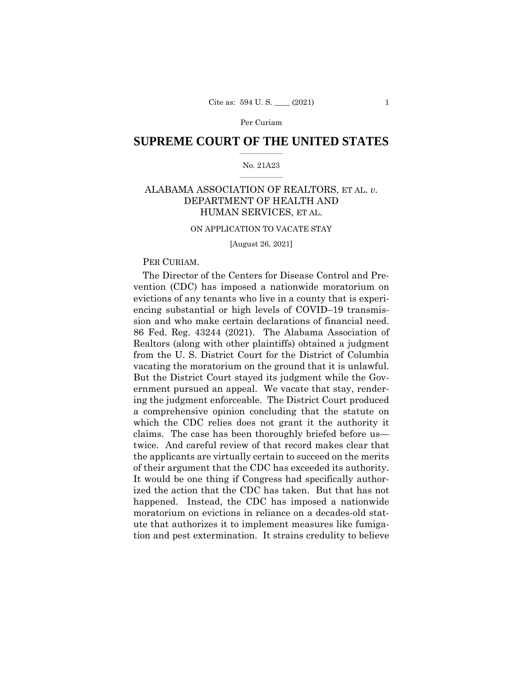# $\frac{1}{2}$  ,  $\frac{1}{2}$  ,  $\frac{1}{2}$  ,  $\frac{1}{2}$  ,  $\frac{1}{2}$  ,  $\frac{1}{2}$  ,  $\frac{1}{2}$ **SUPREME COURT OF THE UNITED STATES**

#### $\frac{1}{2}$  ,  $\frac{1}{2}$  ,  $\frac{1}{2}$  ,  $\frac{1}{2}$  ,  $\frac{1}{2}$  ,  $\frac{1}{2}$ No. 21A23

# ALABAMA ASSOCIATION OF REALTORS, ET AL. *v.*  DEPARTMENT OF HEALTH AND HUMAN SERVICES, ET AL.

#### ON APPLICATION TO VACATE STAY

[August 26, 2021]

#### PER CURIAM.

The Director of the Centers for Disease Control and Prevention (CDC) has imposed a nationwide moratorium on evictions of any tenants who live in a county that is experiencing substantial or high levels of COVID–19 transmission and who make certain declarations of financial need. 86 Fed. Reg. 43244 (2021). The Alabama Association of Realtors (along with other plaintiffs) obtained a judgment from the U. S. District Court for the District of Columbia vacating the moratorium on the ground that it is unlawful. But the District Court stayed its judgment while the Government pursued an appeal. We vacate that stay, rendering the judgment enforceable. The District Court produced a comprehensive opinion concluding that the statute on which the CDC relies does not grant it the authority it claims. The case has been thoroughly briefed before us twice. And careful review of that record makes clear that the applicants are virtually certain to succeed on the merits of their argument that the CDC has exceeded its authority. It would be one thing if Congress had specifically authorized the action that the CDC has taken. But that has not happened. Instead, the CDC has imposed a nationwide moratorium on evictions in reliance on a decades-old statute that authorizes it to implement measures like fumigation and pest extermination. It strains credulity to believe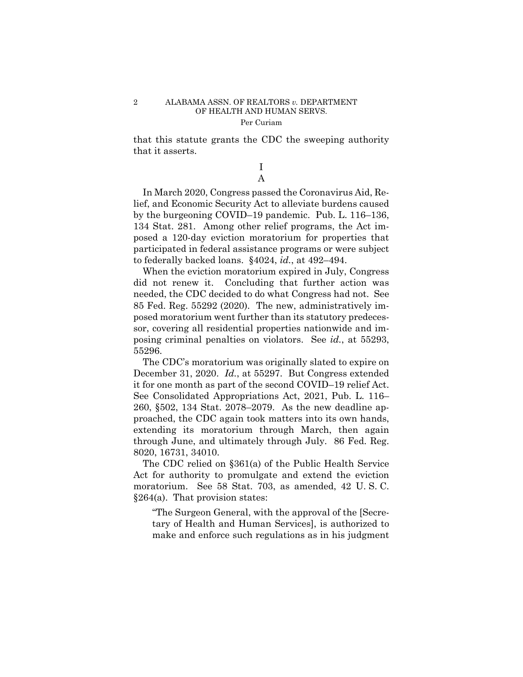that this statute grants the CDC the sweeping authority that it asserts.

> I A

In March 2020, Congress passed the Coronavirus Aid, Relief, and Economic Security Act to alleviate burdens caused by the burgeoning COVID–19 pandemic. Pub. L. 116–136, 134 Stat. 281. Among other relief programs, the Act imposed a 120-day eviction moratorium for properties that participated in federal assistance programs or were subject to federally backed loans. §4024, *id.*, at 492–494.

When the eviction moratorium expired in July, Congress did not renew it. Concluding that further action was needed, the CDC decided to do what Congress had not. See 85 Fed. Reg. 55292 (2020). The new, administratively imposed moratorium went further than its statutory predecessor, covering all residential properties nationwide and imposing criminal penalties on violators. See *id.*, at 55293, 55296.

The CDC's moratorium was originally slated to expire on December 31, 2020. *Id.*, at 55297. But Congress extended it for one month as part of the second COVID–19 relief Act. See Consolidated Appropriations Act, 2021, Pub. L. 116– 260, §502, 134 Stat. 2078–2079. As the new deadline approached, the CDC again took matters into its own hands, extending its moratorium through March, then again through June, and ultimately through July. 86 Fed. Reg. 8020, 16731, 34010.

The CDC relied on §361(a) of the Public Health Service Act for authority to promulgate and extend the eviction moratorium. See 58 Stat. 703, as amended, 42 U. S. C. §264(a). That provision states:

"The Surgeon General, with the approval of the [Secretary of Health and Human Services], is authorized to make and enforce such regulations as in his judgment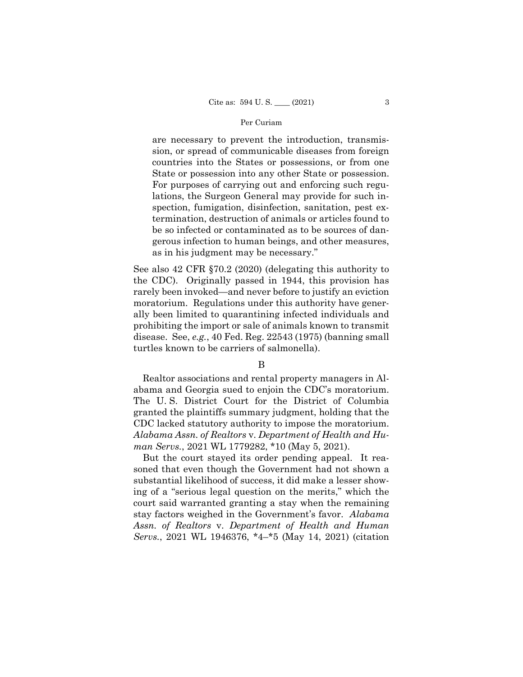State or possession into any other State or possession. are necessary to prevent the introduction, transmission, or spread of communicable diseases from foreign countries into the States or possessions, or from one For purposes of carrying out and enforcing such regulations, the Surgeon General may provide for such inspection, fumigation, disinfection, sanitation, pest extermination, destruction of animals or articles found to be so infected or contaminated as to be sources of dangerous infection to human beings, and other measures, as in his judgment may be necessary."

See also 42 CFR §70.2 (2020) (delegating this authority to the CDC). Originally passed in 1944, this provision has rarely been invoked—and never before to justify an eviction moratorium. Regulations under this authority have generally been limited to quarantining infected individuals and prohibiting the import or sale of animals known to transmit disease. See, *e.g.*, 40 Fed. Reg. 22543 (1975) (banning small turtles known to be carriers of salmonella).

B

Realtor associations and rental property managers in Alabama and Georgia sued to enjoin the CDC's moratorium. The U. S. District Court for the District of Columbia granted the plaintiffs summary judgment, holding that the CDC lacked statutory authority to impose the moratorium. *Alabama Assn. of Realtors* v. *Department of Health and Human Servs.*, 2021 WL 1779282, \*10 (May 5, 2021).

But the court stayed its order pending appeal. It reasoned that even though the Government had not shown a substantial likelihood of success, it did make a lesser showing of a "serious legal question on the merits," which the court said warranted granting a stay when the remaining stay factors weighed in the Government's favor. *Alabama Assn. of Realtors* v. *Department of Health and Human Servs.*, 2021 WL 1946376, \*4–\*5 (May 14, 2021) (citation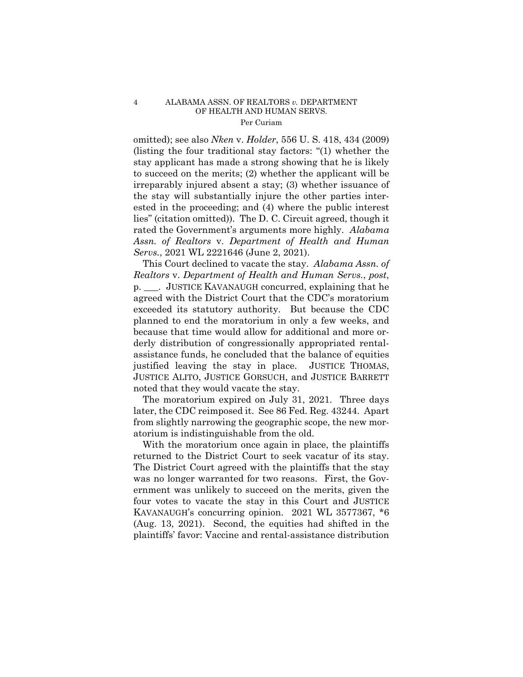omitted); see also *Nken* v. *Holder*, 556 U. S. 418, 434 (2009) (listing the four traditional stay factors: "(1) whether the stay applicant has made a strong showing that he is likely to succeed on the merits; (2) whether the applicant will be irreparably injured absent a stay; (3) whether issuance of the stay will substantially injure the other parties interested in the proceeding; and (4) where the public interest lies" (citation omitted)). The D. C. Circuit agreed, though it rated the Government's arguments more highly. *Alabama Assn. of Realtors* v. *Department of Health and Human Servs.*, 2021 WL 2221646 (June 2, 2021).

This Court declined to vacate the stay. *Alabama Assn. of Realtors* v. *Department of Health and Human Servs.*, *post*, p. \_\_\_. JUSTICE KAVANAUGH concurred, explaining that he agreed with the District Court that the CDC's moratorium exceeded its statutory authority. But because the CDC planned to end the moratorium in only a few weeks, and because that time would allow for additional and more orderly distribution of congressionally appropriated rentalassistance funds, he concluded that the balance of equities justified leaving the stay in place. JUSTICE THOMAS, JUSTICE ALITO, JUSTICE GORSUCH, and JUSTICE BARRETT noted that they would vacate the stay.

The moratorium expired on July 31, 2021. Three days later, the CDC reimposed it. See 86 Fed. Reg. 43244. Apart from slightly narrowing the geographic scope, the new moratorium is indistinguishable from the old.

With the moratorium once again in place, the plaintiffs returned to the District Court to seek vacatur of its stay. The District Court agreed with the plaintiffs that the stay was no longer warranted for two reasons. First, the Government was unlikely to succeed on the merits, given the four votes to vacate the stay in this Court and JUSTICE KAVANAUGH's concurring opinion. 2021 WL 3577367, \*6 (Aug. 13, 2021). Second, the equities had shifted in the plaintiffs' favor: Vaccine and rental-assistance distribution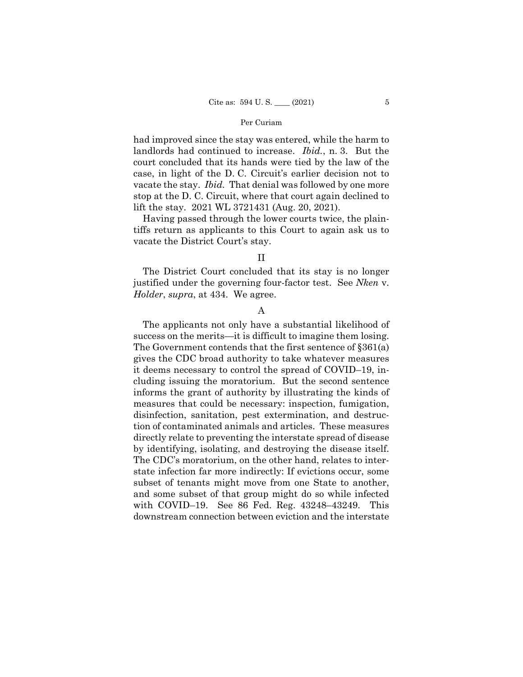had improved since the stay was entered, while the harm to landlords had continued to increase. *Ibid.*, n. 3. But the court concluded that its hands were tied by the law of the case, in light of the D. C. Circuit's earlier decision not to vacate the stay. *Ibid.* That denial was followed by one more stop at the D. C. Circuit, where that court again declined to lift the stay. 2021 WL 3721431 (Aug. 20, 2021).

Having passed through the lower courts twice, the plaintiffs return as applicants to this Court to again ask us to vacate the District Court's stay.

# II

The District Court concluded that its stay is no longer justified under the governing four-factor test. See *Nken* v. *Holder*, *supra*, at 434. We agree.

## A

The applicants not only have a substantial likelihood of success on the merits—it is difficult to imagine them losing. The Government contends that the first sentence of §361(a) gives the CDC broad authority to take whatever measures it deems necessary to control the spread of COVID–19, including issuing the moratorium. But the second sentence informs the grant of authority by illustrating the kinds of measures that could be necessary: inspection, fumigation, disinfection, sanitation, pest extermination, and destruction of contaminated animals and articles. These measures directly relate to preventing the interstate spread of disease by identifying, isolating, and destroying the disease itself. The CDC's moratorium, on the other hand, relates to interstate infection far more indirectly: If evictions occur, some subset of tenants might move from one State to another, and some subset of that group might do so while infected with COVID–19. See 86 Fed. Reg. 43248–43249. This downstream connection between eviction and the interstate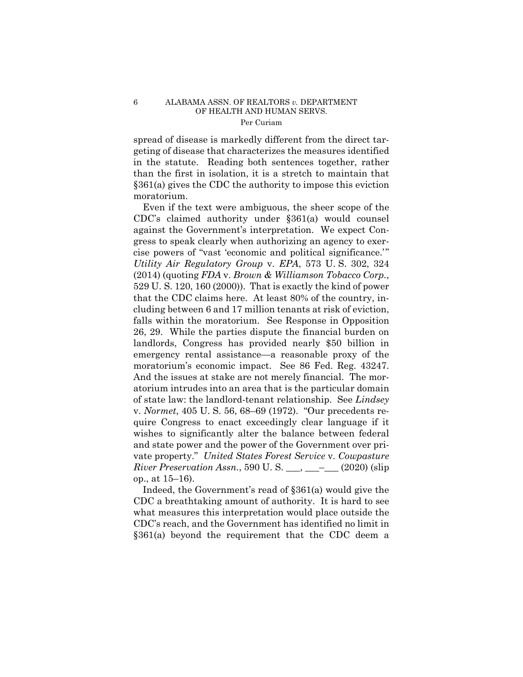spread of disease is markedly different from the direct targeting of disease that characterizes the measures identified in the statute. Reading both sentences together, rather than the first in isolation, it is a stretch to maintain that §361(a) gives the CDC the authority to impose this eviction moratorium.

 cluding between 6 and 17 million tenants at risk of eviction, Even if the text were ambiguous, the sheer scope of the CDC's claimed authority under §361(a) would counsel against the Government's interpretation. We expect Congress to speak clearly when authorizing an agency to exercise powers of "vast 'economic and political significance.'" *Utility Air Regulatory Group* v. *EPA*, 573 U. S. 302, 324 (2014) (quoting *FDA* v. *Brown & Williamson Tobacco Corp.*, 529 U. S. 120, 160 (2000)). That is exactly the kind of power that the CDC claims here. At least 80% of the country, infalls within the moratorium. See Response in Opposition 26, 29. While the parties dispute the financial burden on landlords, Congress has provided nearly \$50 billion in emergency rental assistance—a reasonable proxy of the moratorium's economic impact. See 86 Fed. Reg. 43247. And the issues at stake are not merely financial. The moratorium intrudes into an area that is the particular domain of state law: the landlord-tenant relationship. See *Lindsey*  v. *Normet*, 405 U. S. 56, 68–69 (1972). "Our precedents require Congress to enact exceedingly clear language if it wishes to significantly alter the balance between federal and state power and the power of the Government over private property." *United States Forest Service* v. *Cowpasture River Preservation Assn.*, 590 U.S. \_\_\_, \_\_\_– (2020) (slip op., at 15–16).

Indeed, the Government's read of §361(a) would give the CDC a breathtaking amount of authority. It is hard to see what measures this interpretation would place outside the CDC's reach, and the Government has identified no limit in §361(a) beyond the requirement that the CDC deem a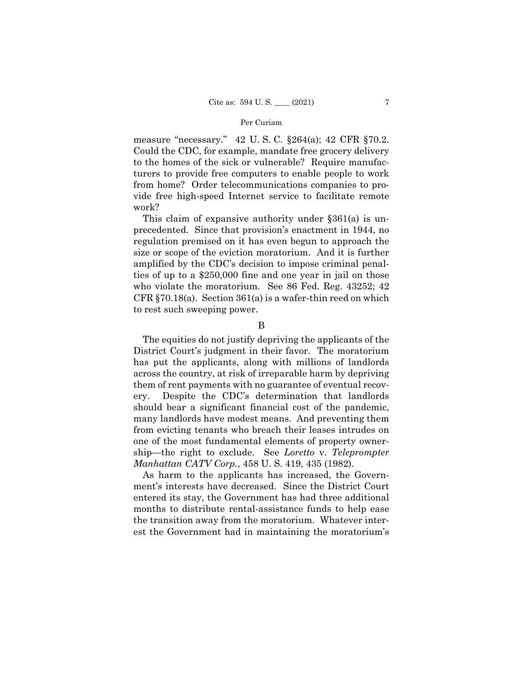measure "necessary." 42 U. S. C. §264(a); 42 CFR §70.2. Could the CDC, for example, mandate free grocery delivery to the homes of the sick or vulnerable? Require manufacturers to provide free computers to enable people to work from home? Order telecommunications companies to provide free high-speed Internet service to facilitate remote work?

This claim of expansive authority under §361(a) is unprecedented. Since that provision's enactment in 1944, no regulation premised on it has even begun to approach the size or scope of the eviction moratorium. And it is further amplified by the CDC's decision to impose criminal penalties of up to a \$250,000 fine and one year in jail on those who violate the moratorium. See 86 Fed. Reg. 43252; 42 CFR §70.18(a). Section 361(a) is a wafer-thin reed on which to rest such sweeping power.

B

The equities do not justify depriving the applicants of the District Court's judgment in their favor. The moratorium has put the applicants, along with millions of landlords across the country, at risk of irreparable harm by depriving them of rent payments with no guarantee of eventual recovery. Despite the CDC's determination that landlords should bear a significant financial cost of the pandemic, many landlords have modest means. And preventing them from evicting tenants who breach their leases intrudes on one of the most fundamental elements of property ownership—the right to exclude. See *Loretto* v. *Teleprompter Manhattan CATV Corp.*, 458 U. S. 419, 435 (1982).

As harm to the applicants has increased, the Government's interests have decreased. Since the District Court entered its stay, the Government has had three additional months to distribute rental-assistance funds to help ease the transition away from the moratorium. Whatever interest the Government had in maintaining the moratorium's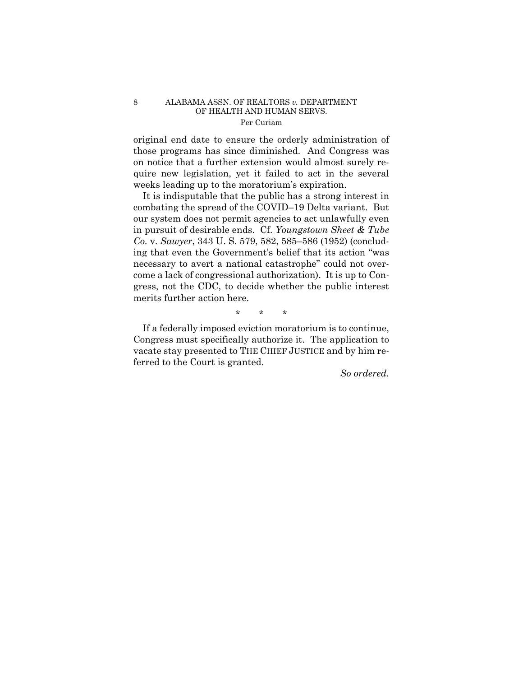original end date to ensure the orderly administration of those programs has since diminished. And Congress was on notice that a further extension would almost surely require new legislation, yet it failed to act in the several weeks leading up to the moratorium's expiration.

It is indisputable that the public has a strong interest in combating the spread of the COVID–19 Delta variant. But our system does not permit agencies to act unlawfully even in pursuit of desirable ends. Cf. *Youngstown Sheet & Tube Co.* v. *Sawyer*, 343 U. S. 579, 582, 585–586 (1952) (concluding that even the Government's belief that its action "was necessary to avert a national catastrophe" could not overcome a lack of congressional authorization). It is up to Congress, not the CDC, to decide whether the public interest merits further action here.

\* \* \*

If a federally imposed eviction moratorium is to continue, Congress must specifically authorize it. The application to vacate stay presented to THE CHIEF JUSTICE and by him referred to the Court is granted.

 *So ordered.*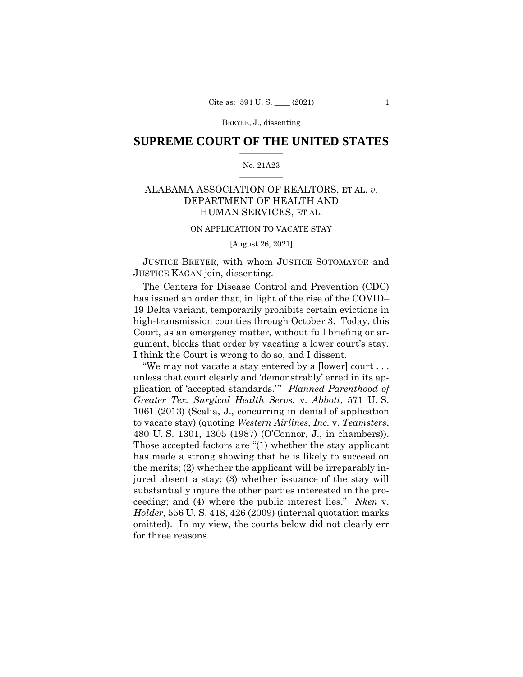## $\frac{1}{2}$  ,  $\frac{1}{2}$  ,  $\frac{1}{2}$  ,  $\frac{1}{2}$  ,  $\frac{1}{2}$  ,  $\frac{1}{2}$  ,  $\frac{1}{2}$ **SUPREME COURT OF THE UNITED STATES**

#### $\frac{1}{2}$  ,  $\frac{1}{2}$  ,  $\frac{1}{2}$  ,  $\frac{1}{2}$  ,  $\frac{1}{2}$  ,  $\frac{1}{2}$ No. 21A23

# ALABAMA ASSOCIATION OF REALTORS, ET AL. *v.*  DEPARTMENT OF HEALTH AND HUMAN SERVICES, ET AL.

#### ON APPLICATION TO VACATE STAY

[August 26, 2021]

 JUSTICE BREYER, with whom JUSTICE SOTOMAYOR and JUSTICE KAGAN join, dissenting.

 gument, blocks that order by vacating a lower court's stay. The Centers for Disease Control and Prevention (CDC) has issued an order that, in light of the rise of the COVID– 19 Delta variant, temporarily prohibits certain evictions in high-transmission counties through October 3. Today, this Court, as an emergency matter, without full briefing or ar-I think the Court is wrong to do so, and I dissent.

 480 U. S. 1301, 1305 (1987) (O'Connor, J., in chambers)). "We may not vacate a stay entered by a [lower] court . . . unless that court clearly and 'demonstrably' erred in its application of 'accepted standards.'" *Planned Parenthood of Greater Tex. Surgical Health Servs.* v. *Abbott*, 571 U. S. 1061 (2013) (Scalia, J., concurring in denial of application to vacate stay) (quoting *Western Airlines, Inc.* v. *Teamsters*, Those accepted factors are "(1) whether the stay applicant has made a strong showing that he is likely to succeed on the merits; (2) whether the applicant will be irreparably injured absent a stay; (3) whether issuance of the stay will substantially injure the other parties interested in the proceeding; and (4) where the public interest lies." *Nken* v. *Holder*, 556 U. S. 418, 426 (2009) (internal quotation marks omitted). In my view, the courts below did not clearly err for three reasons.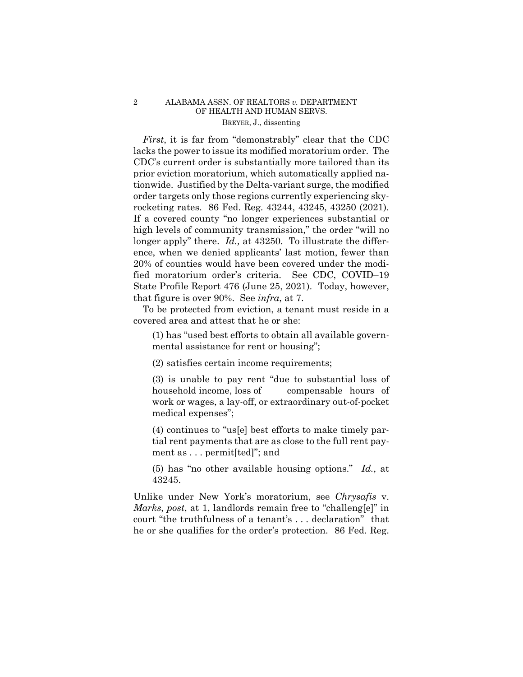rocketing rates. 86 Fed. Reg. 43244, 43245, 43250 (2021). *First*, it is far from "demonstrably" clear that the CDC lacks the power to issue its modified moratorium order. The CDC's current order is substantially more tailored than its prior eviction moratorium, which automatically applied nationwide. Justified by the Delta-variant surge, the modified order targets only those regions currently experiencing sky-If a covered county "no longer experiences substantial or high levels of community transmission," the order "will no longer apply" there. *Id.*, at 43250. To illustrate the difference, when we denied applicants' last motion, fewer than 20% of counties would have been covered under the modified moratorium order's criteria. See CDC, COVID–19 State Profile Report 476 (June 25, 2021). Today, however, that figure is over 90%. See *infra*, at 7.

To be protected from eviction, a tenant must reside in a covered area and attest that he or she:

(1) has "used best efforts to obtain all available governmental assistance for rent or housing";

(2) satisfies certain income requirements;

(3) is unable to pay rent "due to substantial loss of household income, loss of compensable hours of work or wages, a lay-off, or extraordinary out-of-pocket medical expenses";

(4) continues to "us[e] best efforts to make timely partial rent payments that are as close to the full rent payment as . . . permit[ted]"; and

(5) has "no other available housing options." *Id.*, at 43245.

Unlike under New York's moratorium, see *Chrysafis* v. *Marks*, *post*, at 1, landlords remain free to "challeng[e]" in court "the truthfulness of a tenant's . . . declaration" that he or she qualifies for the order's protection. 86 Fed. Reg.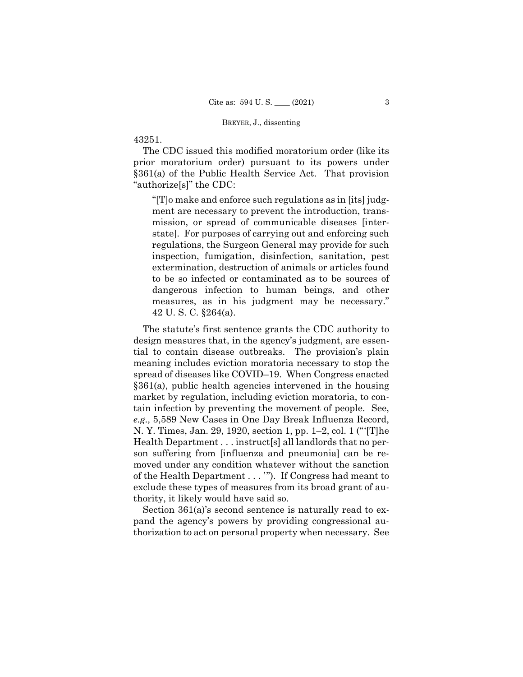# 43251.

The CDC issued this modified moratorium order (like its prior moratorium order) pursuant to its powers under §361(a) of the Public Health Service Act. That provision "authorize[s]" the CDC:

"[T]o make and enforce such regulations as in [its] judgment are necessary to prevent the introduction, transmission, or spread of communicable diseases [interstate]. For purposes of carrying out and enforcing such regulations, the Surgeon General may provide for such inspection, fumigation, disinfection, sanitation, pest extermination, destruction of animals or articles found to be so infected or contaminated as to be sources of dangerous infection to human beings, and other measures, as in his judgment may be necessary." 42 U. S. C. §264(a).

The statute's first sentence grants the CDC authority to design measures that, in the agency's judgment, are essential to contain disease outbreaks. The provision's plain meaning includes eviction moratoria necessary to stop the spread of diseases like COVID–19. When Congress enacted §361(a), public health agencies intervened in the housing market by regulation, including eviction moratoria, to contain infection by preventing the movement of people. See, *e.g.,* 5,589 New Cases in One Day Break Influenza Record, N. Y. Times, Jan. 29, 1920, section 1, pp. 1–2, col. 1 ("'[T]he Health Department . . . instruct[s] all landlords that no person suffering from [influenza and pneumonia] can be removed under any condition whatever without the sanction of the Health Department . . . '"). If Congress had meant to exclude these types of measures from its broad grant of authority, it likely would have said so.

Section 361(a)'s second sentence is naturally read to expand the agency's powers by providing congressional authorization to act on personal property when necessary. See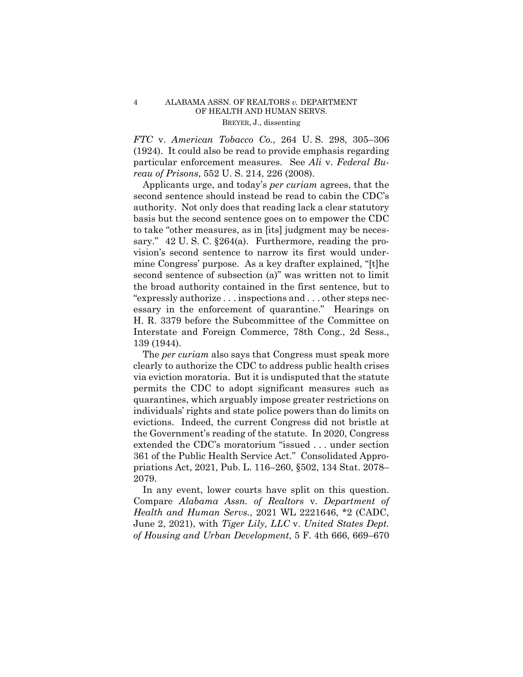*FTC* v. *American Tobacco Co.*, 264 U. S. 298, 305–306 (1924). It could also be read to provide emphasis regarding particular enforcement measures. See *Ali* v. *Federal Bureau of Prisons*, 552 U. S. 214, 226 (2008).

Applicants urge, and today's *per curiam* agrees, that the second sentence should instead be read to cabin the CDC's authority. Not only does that reading lack a clear statutory basis but the second sentence goes on to empower the CDC to take "other measures, as in [its] judgment may be necessary." 42 U.S.C.  $\S 264(a)$ . Furthermore, reading the provision's second sentence to narrow its first would undermine Congress' purpose. As a key drafter explained, "[t]he second sentence of subsection (a)" was written not to limit the broad authority contained in the first sentence, but to "expressly authorize . . . inspections and . . . other steps necessary in the enforcement of quarantine." Hearings on H. R. 3379 before the Subcommittee of the Committee on Interstate and Foreign Commerce, 78th Cong., 2d Sess., 139 (1944).

The *per curiam* also says that Congress must speak more clearly to authorize the CDC to address public health crises via eviction moratoria. But it is undisputed that the statute permits the CDC to adopt significant measures such as quarantines, which arguably impose greater restrictions on individuals' rights and state police powers than do limits on evictions. Indeed, the current Congress did not bristle at the Government's reading of the statute. In 2020, Congress extended the CDC's moratorium "issued . . . under section 361 of the Public Health Service Act." Consolidated Appropriations Act, 2021, Pub. L. 116–260, §502, 134 Stat. 2078– 2079.

In any event, lower courts have split on this question. Compare *Alabama Assn. of Realtors* v. *Department of Health and Human Servs.*, 2021 WL 2221646, \*2 (CADC, June 2, 2021), with *Tiger Lily, LLC* v. *United States Dept. of Housing and Urban Development*, 5 F. 4th 666, 669–670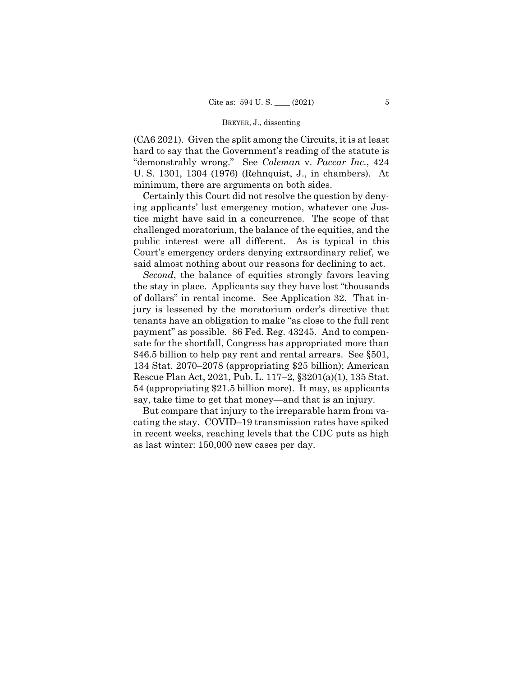(CA6 2021). Given the split among the Circuits, it is at least hard to say that the Government's reading of the statute is "demonstrably wrong." See *Coleman* v. *Paccar Inc.*, 424 U. S. 1301, 1304 (1976) (Rehnquist, J., in chambers). At minimum, there are arguments on both sides.

 Certainly this Court did not resolve the question by denying applicants' last emergency motion, whatever one Justice might have said in a concurrence. The scope of that challenged moratorium, the balance of the equities, and the public interest were all different. As is typical in this Court's emergency orders denying extraordinary relief, we said almost nothing about our reasons for declining to act.

*Second*, the balance of equities strongly favors leaving the stay in place. Applicants say they have lost "thousands of dollars" in rental income. See Application 32. That injury is lessened by the moratorium order's directive that tenants have an obligation to make "as close to the full rent payment" as possible. 86 Fed. Reg. 43245. And to compensate for the shortfall, Congress has appropriated more than \$46.5 billion to help pay rent and rental arrears. See §501, 134 Stat. 2070–2078 (appropriating \$25 billion); American Rescue Plan Act, 2021, Pub. L. 117–2, §3201(a)(1), 135 Stat. 54 (appropriating \$21.5 billion more). It may, as applicants say, take time to get that money—and that is an injury.

But compare that injury to the irreparable harm from vacating the stay. COVID–19 transmission rates have spiked in recent weeks, reaching levels that the CDC puts as high as last winter: 150,000 new cases per day.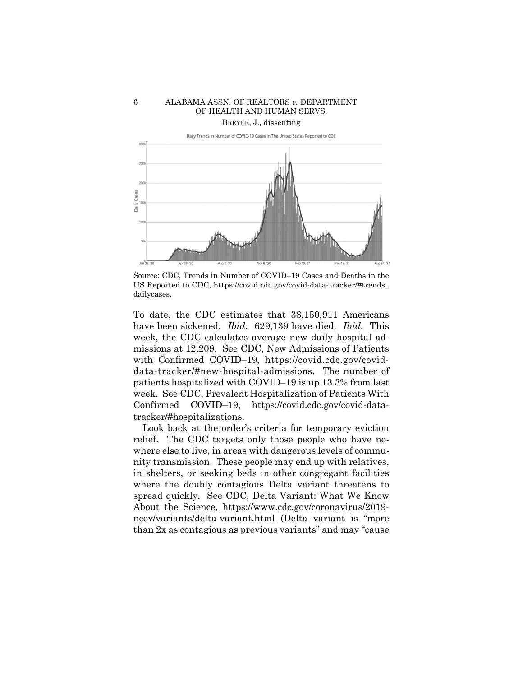

Source: CDC, Trends in Number of COVID–19 Cases and Deaths in the US Reported to CDC, https://covid.cdc.gov/covid-data-tracker/#trends\_ dailycases.

 have been sickened. *Ibid*. 629,139 have died. *Ibid.* This To date, the CDC estimates that 38,150,911 Americans week, the CDC calculates average new daily hospital admissions at 12,209. See CDC, New Admissions of Patients with Confirmed COVID–19, https://covid.cdc.gov/coviddata-tracker/#new-hospital-admissions. The number of patients hospitalized with COVID–19 is up 13.3% from last week. See CDC, Prevalent Hospitalization of Patients With Confirmed COVID–19, https://covid.cdc.gov/covid-datatracker/#hospitalizations.

Look back at the order's criteria for temporary eviction relief. The CDC targets only those people who have nowhere else to live, in areas with dangerous levels of community transmission. These people may end up with relatives, in shelters, or seeking beds in other congregant facilities where the doubly contagious Delta variant threatens to spread quickly. See CDC, Delta Variant: What We Know About the Science, https://www.cdc.gov/coronavirus/2019 ncov/variants/delta-variant.html (Delta variant is "more than 2x as contagious as previous variants" and may "cause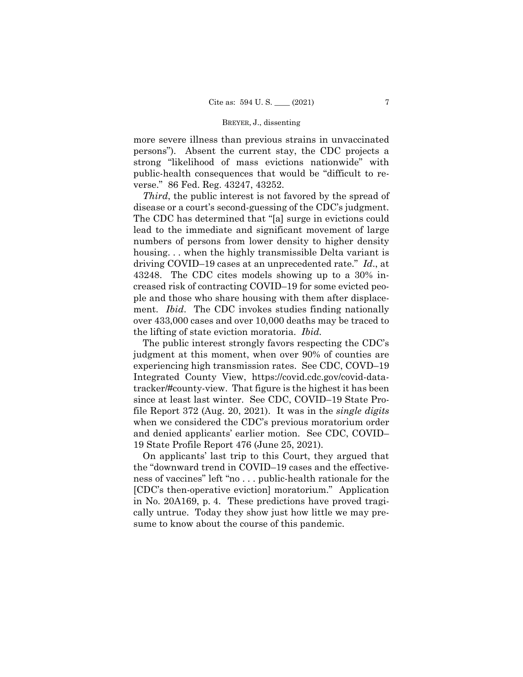more severe illness than previous strains in unvaccinated persons"). Absent the current stay, the CDC projects a strong "likelihood of mass evictions nationwide" with public-health consequences that would be "difficult to reverse." 86 Fed. Reg. 43247, 43252.

*Third*, the public interest is not favored by the spread of disease or a court's second-guessing of the CDC's judgment. The CDC has determined that "[a] surge in evictions could lead to the immediate and significant movement of large numbers of persons from lower density to higher density housing... when the highly transmissible Delta variant is driving COVID–19 cases at an unprecedented rate." *Id*., at 43248. The CDC cites models showing up to a 30% increased risk of contracting COVID–19 for some evicted people and those who share housing with them after displacement. *Ibid*. The CDC invokes studies finding nationally over 433,000 cases and over 10,000 deaths may be traced to the lifting of state eviction moratoria. *Ibid.* 

The public interest strongly favors respecting the CDC's judgment at this moment, when over 90% of counties are experiencing high transmission rates. See CDC, COVD–19 Integrated County View, https://covid.cdc.gov/covid-datatracker/#county-view. That figure is the highest it has been since at least last winter. See CDC, COVID–19 State Profile Report 372 (Aug. 20, 2021). It was in the *single digits* when we considered the CDC's previous moratorium order and denied applicants' earlier motion. See CDC, COVID– 19 State Profile Report 476 (June 25, 2021).

On applicants' last trip to this Court, they argued that the "downward trend in COVID–19 cases and the effectiveness of vaccines" left "no . . . public-health rationale for the [CDC's then-operative eviction] moratorium." Application in No. 20A169, p. 4. These predictions have proved tragically untrue. Today they show just how little we may presume to know about the course of this pandemic.